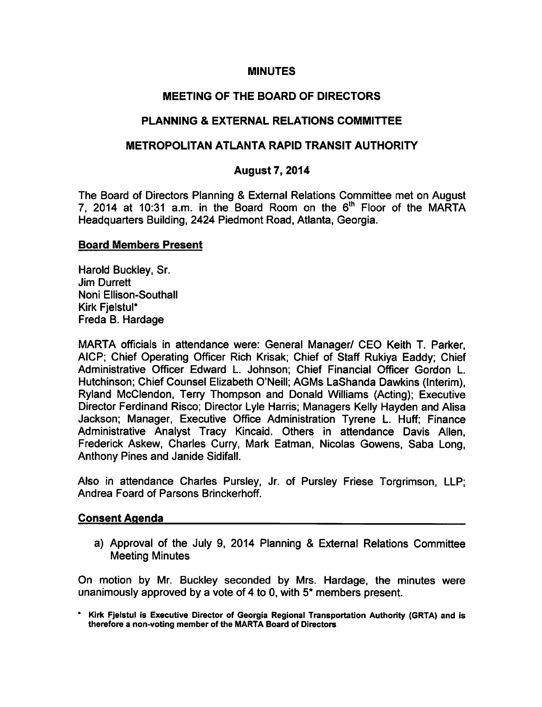#### MINUTES

### MEETING OF THE BOARD OF DIRECTORS

### PLANNING & EXTERNAL RELATIONS COMMITTEE

### METROPOLITAN ATLANTA RAPID TRANSIT AUTHORITY

### August 7, 2014

The Board of Directors Planning & External Relations Committee met on August 7, 2014 at 10:31 a.m. in the Board Room on the  $6<sup>th</sup>$  Floor of the MARTA Headquarters Building, 2424 Piedmont Road, Atlanta, Georgia.

#### Board Members Present

Harold Buckley, Sr. Jim Durrett Noni Ellison-Southall Kirk FjelstuI\* Freda B. Hardage

MARTA officials in attendance were: General Manager/ CEO Keith T. Parker, AICP; Chief Operating Officer Rich Krisak; Chief of Staff Rukiya Eaddy; Chief Administrative Officer Edward L. Johnson; Chief Financial Officer Gordon L. Hutchinson; Chief Counsel Elizabeth O'Neill; AGMs LaShanda Dawkins (Interim), Ryland McClendon, Terry Thompson and Donald Williams (Acting); Executive Director Ferdinand Risco; Director Lyle Harris; Managers Kelly Hayden and Alisa Jackson; Manager, Executive Office Administration Tyrene L. Huff; Finance Administrative Analyst Tracy Kincaid. Others in attendance Davis Allen, Frederick Askew, Charles Curry, Mark Eatman, Nicolas Gowens, Saba Long, Anthony Pines and Janide Sidifall.

Also in attendance Charles Pursley, Jr. of Pursley Friese Torgrimson, LLP; Andrea Foard of Parsons Brinckerhoff.

#### Consent Agenda

a) Approval of the July 9, 2014 Planning & External Relations Committee Meeting Minutes

On motion by Mr. Buckley seconded by Mrs. Hardage, the minutes were unanimously approved by a vote of 4 to 0, with  $5^*$  members present.

\* Kirk Fjelstul is Executive Director of Georgia Regional Transportation Authority (GRTA) and is therefore a non-voting member of the MARTA Board of Directors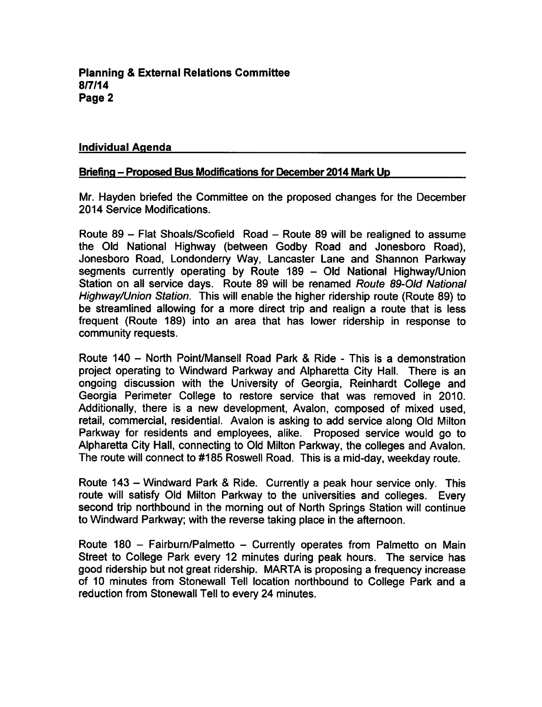#### Individual Agenda

#### Briefing - Proposed Bus Modifications for December 2014 Mark Up

Mr. Hayden briefed the Committee on the proposed changes for the December 2014 Service Modifications.

Route  $89$  – Flat Shoals/Scofield Road – Route 89 will be realigned to assume the Old National Highway (between Godby Road and Jonesboro Road), Jonesboro Road, Londonderry Way, Lancaster Lane and Shannon Parkway segments currently operating by Route 189 - Old National Highway/Union Station on all service days. Route 89 will be renamed Route 89-Old National Highway/Union Station. This will enable the higher ridership route (Route 89) to be streamlined allowing for a more direct trip and realign a route that is less frequent (Route 189) into an area that has lower ridership in response to community requests.

Route 140 – North Point/Mansell Road Park & Ride - This is a demonstration project operating to Windward Parkway and Alpharetta City Hall. There is an ongoing discussion with the University of Georgia, Reinhardt College and Georgia Perimeter College to restore service that was removed in 2010. Additionally, there is a new development, Avalon, composed of mixed used, retail, commercial, residential. Avalon is asking to add service along Old Milton Parkway for residents and employees, alike. Proposed service would go to Alpharetta City Hall, connecting to Old Milton Parkway, the colleges and Avalon. The route will connect to #185 Roswell Road. This is a mid-day, weekday route.

Route 143 - Windward Park & Ride. Currently a peak hour service only. This route will satisfy Old Milton Parkway to the universities and colleges. Every second trip northbound in the morning out of North Springs Station will continue to Windward Parkway; with the reverse taking place in the afternoon.

Route 180 - Fairburn/Palmetto - Currently operates from Palmetto on Main Street to College Park every 12 minutes during peak hours. The service has good ridership but not great ridership. MARTA is proposing a frequency increase of 10 minutes from Stonewall Tell location northbound to College Park and reduction from Stonewall Tell to every 24 minutes.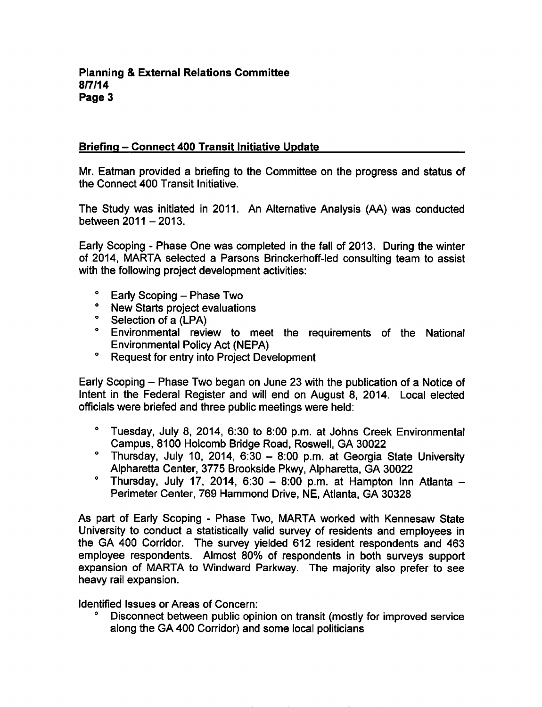### Briefing - Connect 400 Transit Initiative Update

Mr. Eatman provided a briefing to the Committee on the progress and status of the Connect 400 Transit Initiative.

The Study was initiated in 2011. An Alternative Analysis (AA) was conducted between  $2011 - 2013$ .

Early Scoping - Phase One was completed in the fall of 2013. During the winter of 2014, MARTA selected a Parsons Brinckerhoff-led consulting team to assist with the following project development activities:

- $^{\circ}$  Early Scoping Phase Two
- New Starts project evaluations
- <sup>o</sup> Selection of a (LPA)
- Environmental review to meet the requirements of the National Environmental Policy Act (NEPA)
- Request for entry into Project Development

Early Scoping – Phase Two began on June 23 with the publication of a Notice of Intent in the Federal Register and will end on August 8, 2014. Local elected officials were briefed and three public meetings were held:

- Tuesday, July 8, 2014, 6:30 to 8:00 p.m. at Johns Creek Environmental Campus, 8100 Holcomb Bridge Road, Roswell, GA 30022
- $^{\circ}$  Thursday, July 10, 2014, 6:30 8:00 p.m. at Georgia State University Alpharetta Center, 3775 Brookside Pkwy, Alpharetta, GA 30022
- $^{\circ}$  Thursday, July 17, 2014, 6:30 8:00 p.m. at Hampton Inn Atlanta -Perimeter Center, 769 Hammond Drive, NE, Atlanta, GA 30328

As part of Early Scoping - Phase Two, MARTA worked with Kennesaw State University to conduct a statistically valid survey of residents and employees in the GA 400 Corridor. The survey yielded 612 resident respondents and 463 employee respondents. Almost 80% of respondents in both surveys support expansion of MARTA to Windward Parkway. The majority also prefer to see heavy rail expansion.

Identified Issues or Areas of Concern:

Disconnect between public opinion on transit (mostly for improved service along the GA 400 Corridor) and some local politicians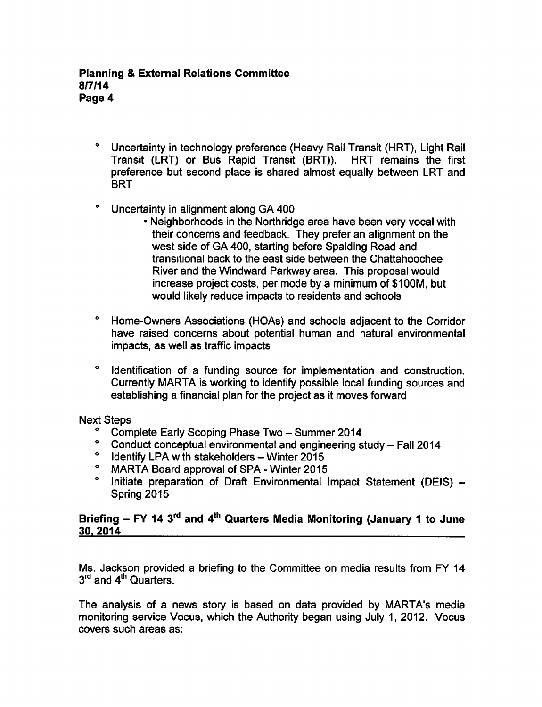- $\bullet$ Uncertainty in technology preference (Heavy Rail Transit (HRT), Light Rail Transit (LRT) or Bus Rapid Transit (BRT)). HRT remains the first preference but second place is shared almost equally between LRT and **BRT**
- $\bullet$ Uncertainty in alignment along GA 400
	- Neighborhoods in the Northridge area have been very vocal with their concerns and feedback. They prefer an alignment on the west side of GA 400, starting before Spalding Road and transitional back to the east side between the Chattahoochee River and the Windward Parkway area. This proposal would increase project costs, per mode by a minimum of \$100M, but would likely reduce impacts to residents and schools
- Home-Owners Associations (HOAs) and schools adjacent to the Corridor have raised concerns about potential human and natural environmental impacts, as well as traffic impacts
- Identification of a funding source for implementation and construction. Currently MARTA is working to identify possible local funding sources and establishing a financial plan for the project as it moves forward

#### Next Steps

- Complete Early Scoping Phase Two Summer 2014
- $\bullet$ Conduct conceptual environmental and engineering study - Fall 2014
- $^{\circ}$  Identify LPA with stakeholders Winter 2015
- $\bullet$ MARTA Board approval of SPA - Winter 2015
- $\bullet$ Initiate preparation of Draft Environmental Impact Statement (DEIS) -Spring 2015

# Briefing  $-$  FY 14 3<sup>rd</sup> and 4<sup>th</sup> Quarters Media Monitoring (January 1 to June 30. 2014

Ms. Jackson provided a briefing to the Committee on media results from FY 14 3<sup>rd</sup> and 4<sup>th</sup> Quarters.

The analysis of a news story is based on data provided by MARTA's media monitoring service Vocus, which the Authority began using July 1, 2012. Vocus covers such areas as: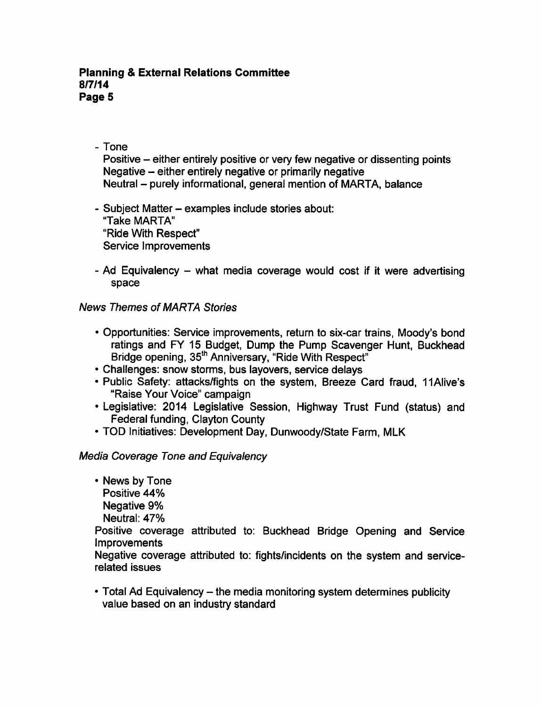#### **Planning & External Relations Committee** 8/7/14 Page 5

### - Tone

Positive – either entirely positive or very few negative or dissenting points Negative  $-$  either entirely negative or primarily negative Neutral – purely informational, general mention of MARTA, balance

- Subject Matter examples include stories about: "Take MARTA" "Ride With Respect" Service Improvements
- Ad Equivalency  $-$  what media coverage would cost if it were advertising space

### News Themes of MARTA Stories

- Opportunities: Service improvements, return to six-car trains, Moody's bond ratings and FY 15 Budget, Dump the Pump Scavenger Hunt, Buckhead Bridge opening, 35<sup>th</sup> Anniversary, "Ride With Respect"
- Challenges: snow storms, bus layovers, service delays
- Public Safety: attacks/fights on the system, Breeze Card fraud, 11Alive's "Raise Your Voice" campaign
- Legislative: 2014 Legislative Session, Highway Trust Fund (status) and Federal funding, Clayton County
- TOD Initiatives: Development Day, Dunwoody/State Farm, MLK

### Media Coverage Tone and Equivalency

- News by Tone Positive 44%
	- Negative 9%
	- Neutral: 47%

Positive coverage attributed to: Buckhead Bridge Opening and Service Improvements

Negative coverage attributed to: fights/incidents on the system and servicerelated issues

• Total Ad Equivalency – the media monitoring system determines publicity value based on an industry standard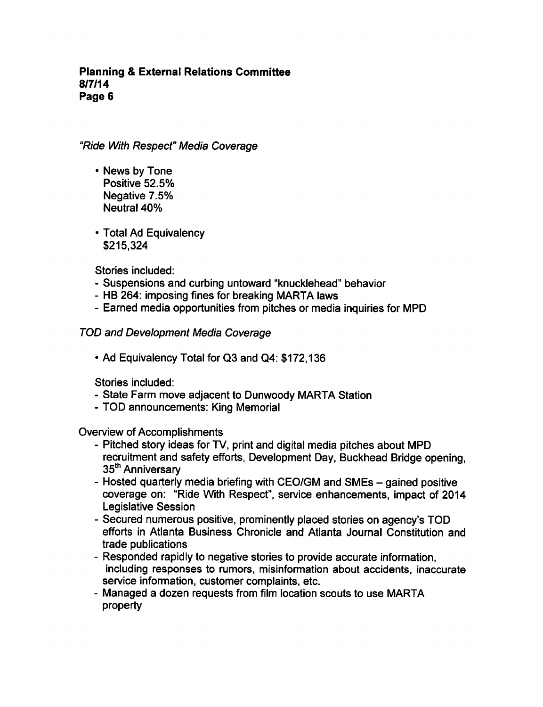#### Planning External Relations Committee 8/7/14 Page 6

"Ride With Respect" Media Coverage

- News by Tone Positive 52.5% Negative 7.5% Neutral 40%
- Total Ad Equivalency \$215,324

Stories included:

- Suspensions and curbing untoward "knucklehead" behavior
- HB 264: imposing fines for breaking MARTA laws
- Earned media opportunities from pitches or media inquiries for MPD

### TOD and Development Media Coverage

Ad Equivalency Total for Q3 and Q4: \$172,136

Stories included:

- State Farm move adjacent to Dunwoody MARTA Station
- TOD announcements: King Memorial

Overview of Accomplishments

- Pitched story ideas for TV, print and digital media pitches about MPD recruitment and safety efforts, Development Day, Buckhead Bridge opening, 35<sup>th</sup> Anniversary
- Hosted quarterly media briefing with CEO/GM and SMEs gained positive coverage on: "Ride With Respect", service enhancements, impact of 2014 Legislative Session
- Secured numerous positive, prominently placed stories on agency's TOD efforts in Atlanta Business Chronicle and Atlanta Journal Constitution and trade publications
- Responded rapidly to negative stories to provide accurate information, including responses to rumors, misinformation about accidents, inaccurate service information, customer complaints, etc.
- Managed a dozen requests from film location scouts to use MARTA property